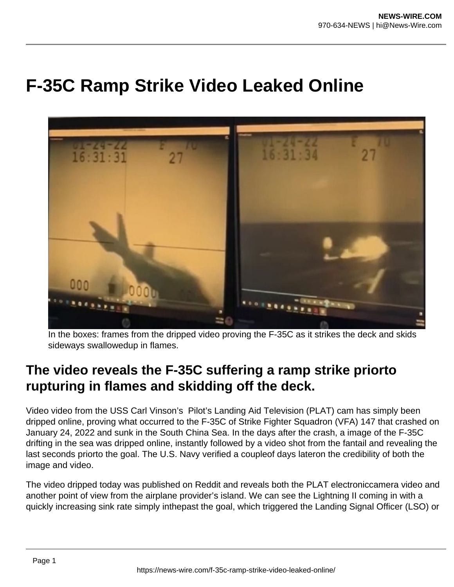## **F-35C Ramp Strike Video Leaked Online**



In the boxes: frames from the dripped video proving the F-35C as it strikes the deck and skids sideways swallowedup in flames.

## **The video reveals the F-35C suffering a ramp strike priorto rupturing in flames and skidding off the deck.**

Video video from the USS Carl Vinson's Pilot's Landing Aid Television (PLAT) cam has simply been dripped online, proving what occurred to the F-35C of Strike Fighter Squadron (VFA) 147 that crashed on January 24, 2022 and sunk in the South China Sea. In the days after the crash, a image of the F-35C drifting in the sea was dripped online, instantly followed by a video shot from the fantail and revealing the last seconds priorto the goal. The U.S. Navy verified a coupleof days lateron the credibility of both the image and video.

The video dripped today was published on Reddit and reveals both the PLAT electroniccamera video and another point of view from the airplane provider's island. We can see the Lightning II coming in with a quickly increasing sink rate simply inthepast the goal, which triggered the Landing Signal Officer (LSO) or